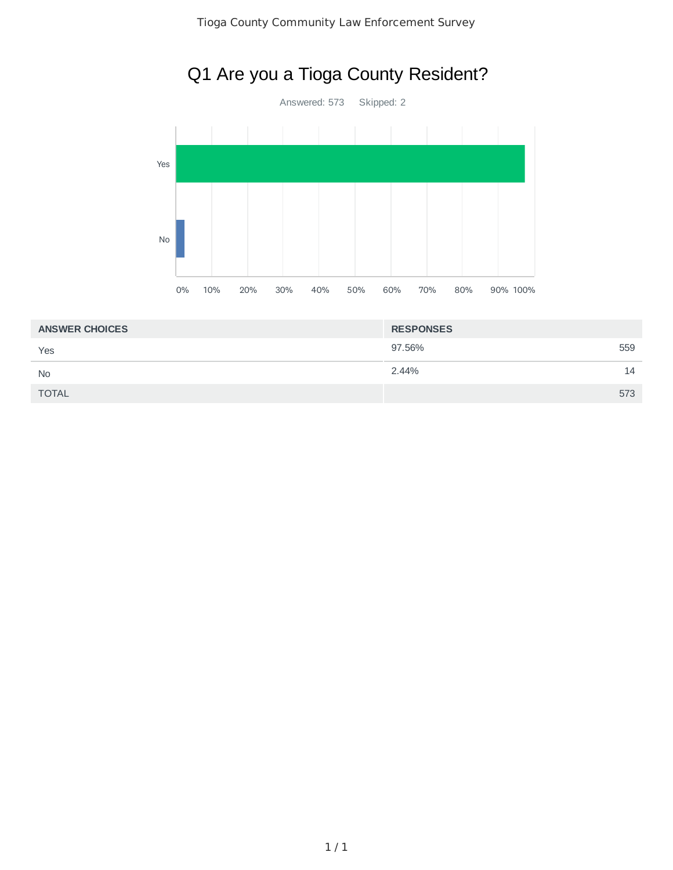



| <b>ANSWER CHOICES</b> | <b>RESPONSES</b> |     |
|-----------------------|------------------|-----|
| Yes                   | 97.56%           | 559 |
| <b>No</b>             | 2.44%            | 14  |
| <b>TOTAL</b>          |                  | 573 |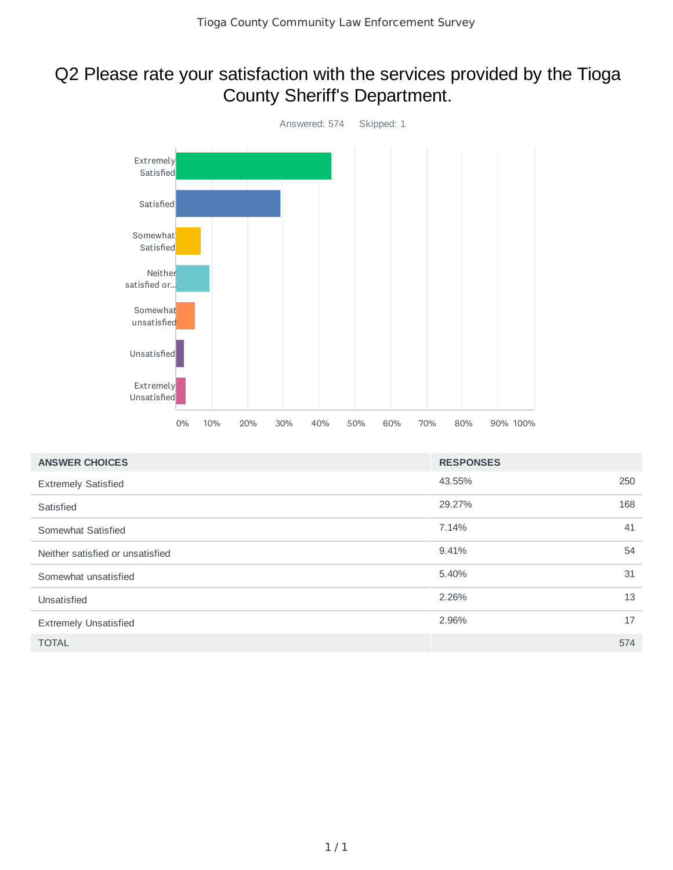#### Q2 Please rate your satisfaction with the services provided by the Tioga County Sheriff's Department.



| <b>ANSWER CHOICES</b>            | <b>RESPONSES</b> |     |
|----------------------------------|------------------|-----|
| <b>Extremely Satisfied</b>       | 43.55%           | 250 |
| Satisfied                        | 29.27%           | 168 |
| Somewhat Satisfied               | 7.14%            | 41  |
| Neither satisfied or unsatisfied | 9.41%            | 54  |
| Somewhat unsatisfied             | 5.40%            | 31  |
| Unsatisfied                      | 2.26%            | 13  |
| <b>Extremely Unsatisfied</b>     | 2.96%            | 17  |
| <b>TOTAL</b>                     |                  | 574 |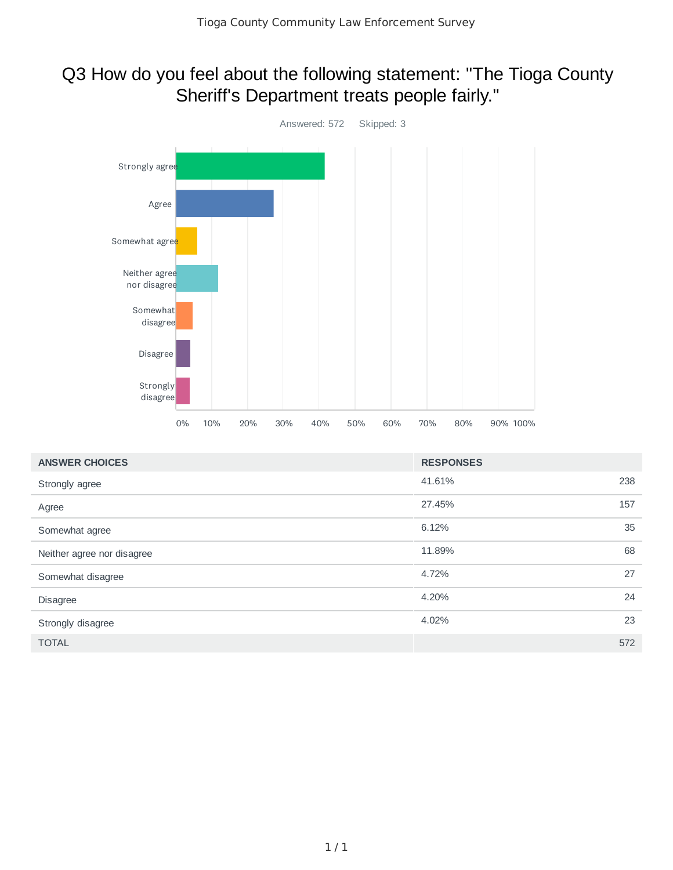## Q3 How do you feel about the following statement: "The Tioga County Sheriff's Department treats people fairly."



| <b>ANSWER CHOICES</b>      | <b>RESPONSES</b> |     |
|----------------------------|------------------|-----|
| Strongly agree             | 41.61%           | 238 |
| Agree                      | 27.45%           | 157 |
| Somewhat agree             | 6.12%            | 35  |
| Neither agree nor disagree | 11.89%           | 68  |
| Somewhat disagree          | 4.72%            | 27  |
| <b>Disagree</b>            | 4.20%            | 24  |
| Strongly disagree          | 4.02%            | 23  |
| <b>TOTAL</b>               |                  | 572 |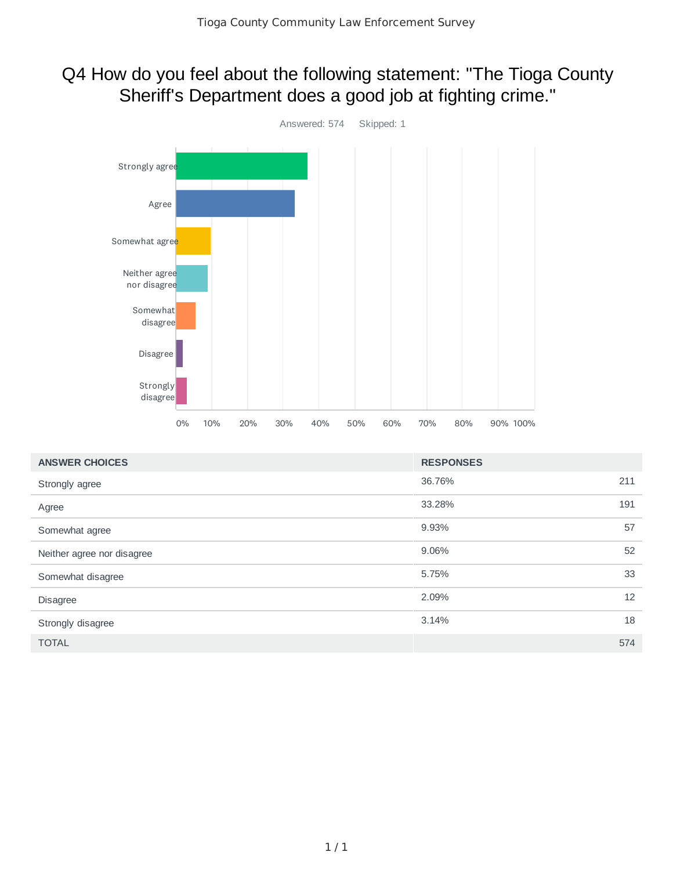## Q4 How do you feel about the following statement: "The Tioga County Sheriff's Department does a good job at fighting crime."



| <b>ANSWER CHOICES</b>      | <b>RESPONSES</b> |     |
|----------------------------|------------------|-----|
| Strongly agree             | 36.76%           | 211 |
| Agree                      | 33.28%           | 191 |
| Somewhat agree             | 9.93%            | 57  |
| Neither agree nor disagree | 9.06%            | 52  |
| Somewhat disagree          | 5.75%            | 33  |
| <b>Disagree</b>            | 2.09%            | 12  |
| Strongly disagree          | 3.14%            | 18  |
| <b>TOTAL</b>               |                  | 574 |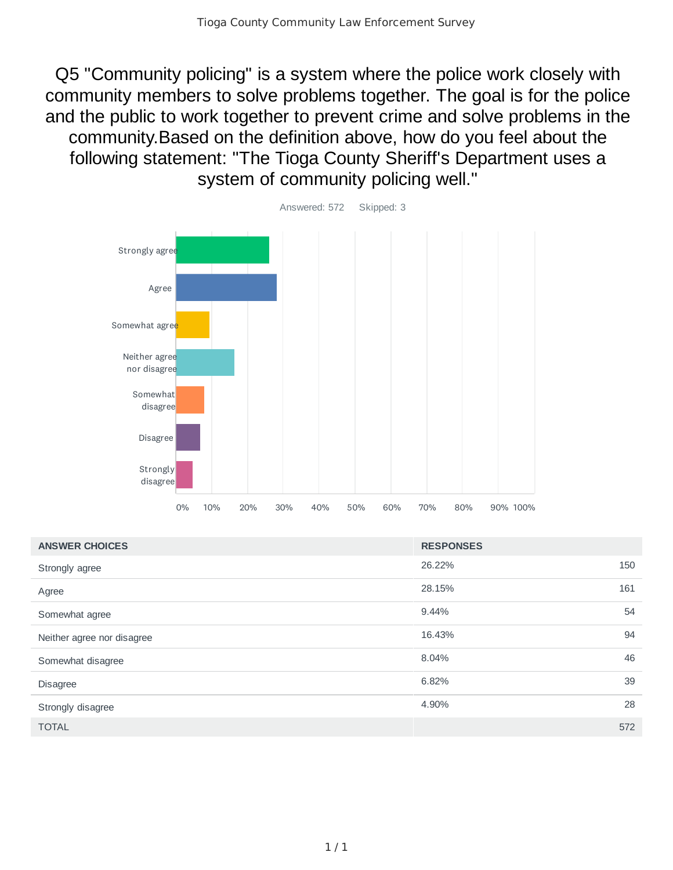Q5 "Community policing" is a system where the police work closely with community members to solve problems together. The goal is for the police and the public to work together to prevent crime and solve problems in the community.Based on the definition above, how do you feel about the following statement: "The Tioga County Sheriff's Department uses a system of community policing well."



| <b>ANSWER CHOICES</b>      | <b>RESPONSES</b> |     |
|----------------------------|------------------|-----|
| Strongly agree             | 26.22%           | 150 |
| Agree                      | 28.15%           | 161 |
| Somewhat agree             | 9.44%            | 54  |
| Neither agree nor disagree | 16.43%           | 94  |
| Somewhat disagree          | 8.04%            | 46  |
| <b>Disagree</b>            | 6.82%            | 39  |
| Strongly disagree          | 4.90%            | 28  |
| <b>TOTAL</b>               |                  | 572 |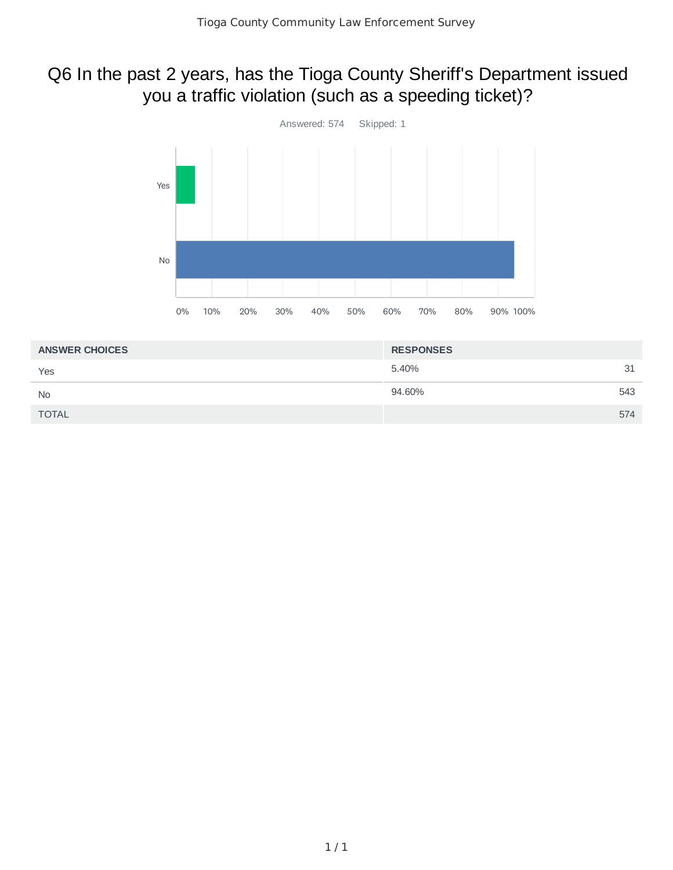## Q6 In the past 2 years, has the Tioga County Sheriff's Department issued you a traffic violation (such as a speeding ticket)?



| <b>ANSWER CHOICES</b> | <b>RESPONSES</b> |     |
|-----------------------|------------------|-----|
| Yes                   | 5.40%            | 31  |
| <b>No</b>             | 94.60%           | 543 |
| <b>TOTAL</b>          |                  | 574 |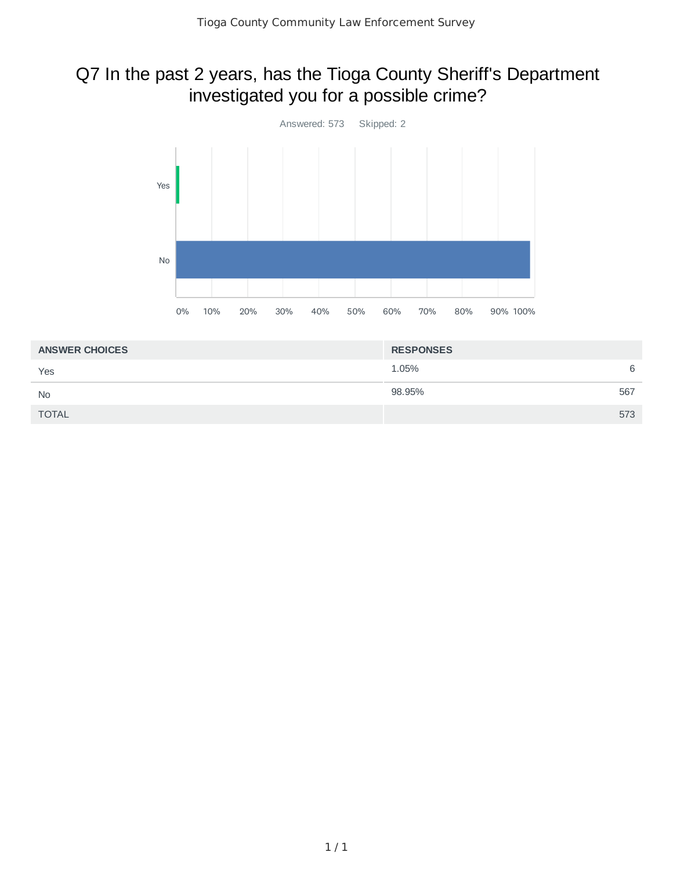## Q7 In the past 2 years, has the Tioga County Sheriff's Department investigated you for a possible crime?



| <b>ANSWER CHOICES</b> | <b>RESPONSES</b> |     |
|-----------------------|------------------|-----|
| Yes                   | 1.05%            | 6   |
| <b>No</b>             | 98.95%           | 567 |
| <b>TOTAL</b>          |                  | 573 |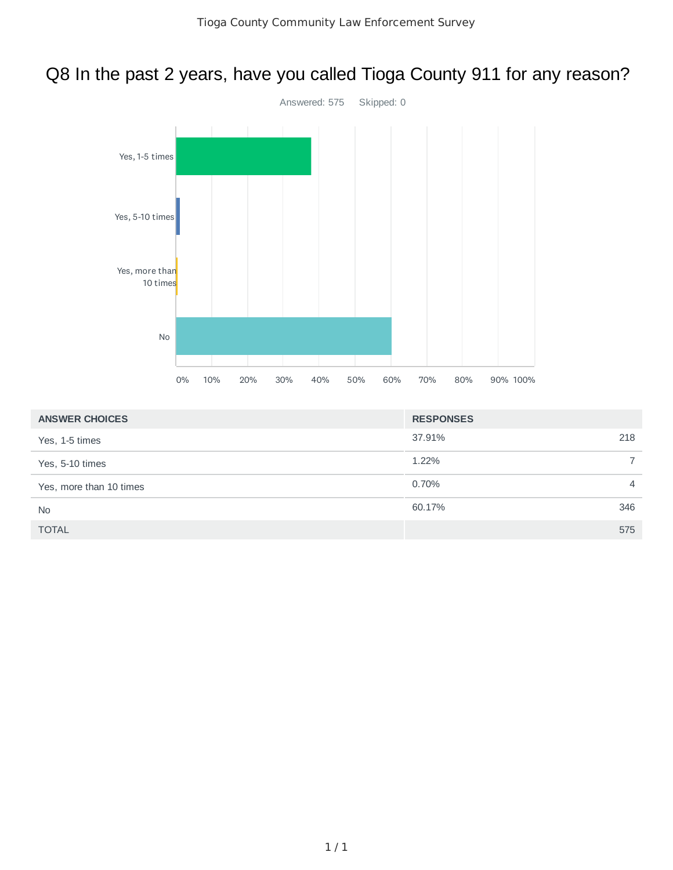## Q8 In the past 2 years, have you called Tioga County 911 for any reason?



| <b>ANSWER CHOICES</b>   | <b>RESPONSES</b> |                |
|-------------------------|------------------|----------------|
| Yes, 1-5 times          | 37.91%           | 218            |
| Yes, 5-10 times         | 1.22%            | $\overline{7}$ |
| Yes, more than 10 times | 0.70%            | 4              |
| <b>No</b>               | 60.17%           | 346            |
| <b>TOTAL</b>            |                  | 575            |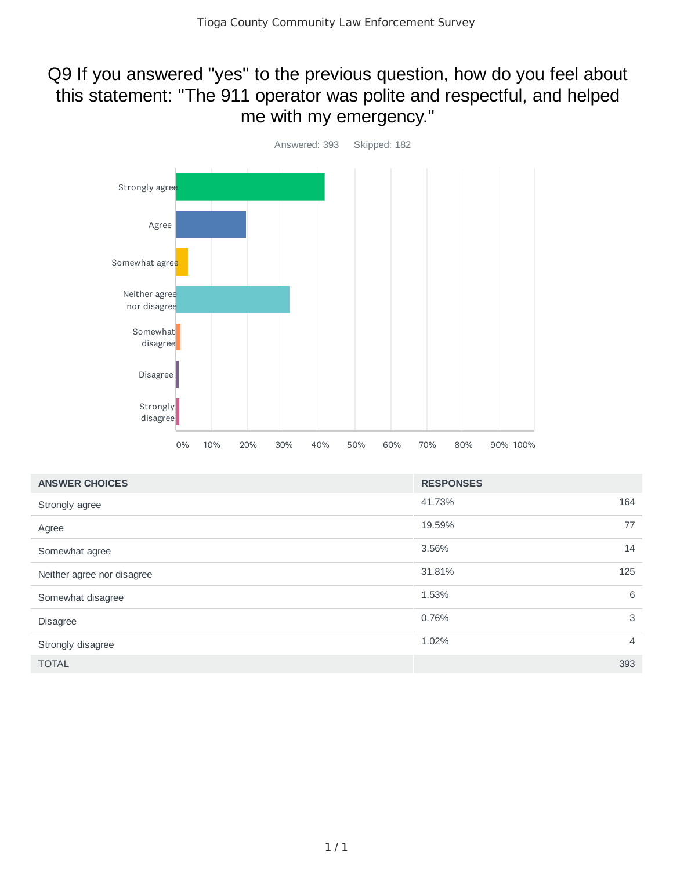#### Q9 If you answered "yes" to the previous question, how do you feel about this statement: "The 911 operator was polite and respectful, and helped me with my emergency."



| <b>ANSWER CHOICES</b>      | <b>RESPONSES</b> |                |
|----------------------------|------------------|----------------|
| Strongly agree             | 41.73%           | 164            |
| Agree                      | 19.59%           | 77             |
| Somewhat agree             | 3.56%            | 14             |
| Neither agree nor disagree | 31.81%           | 125            |
| Somewhat disagree          | 1.53%            | 6              |
| <b>Disagree</b>            | 0.76%            | 3              |
| Strongly disagree          | 1.02%            | $\overline{4}$ |
| <b>TOTAL</b>               |                  | 393            |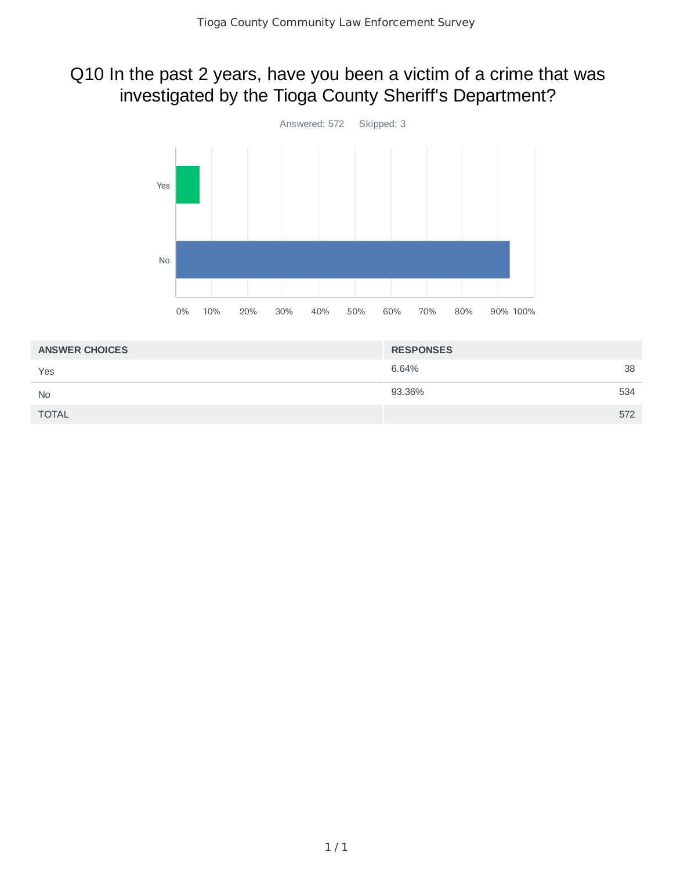## Q10 In the past 2 years, have you been a victim of a crime that was investigated by the Tioga County Sheriff's Department?



| <b>ANSWER CHOICES</b> | <b>RESPONSES</b> |     |
|-----------------------|------------------|-----|
| Yes                   | 6.64%            | 38  |
| <b>No</b>             | 93.36%           | 534 |
| <b>TOTAL</b>          |                  | 572 |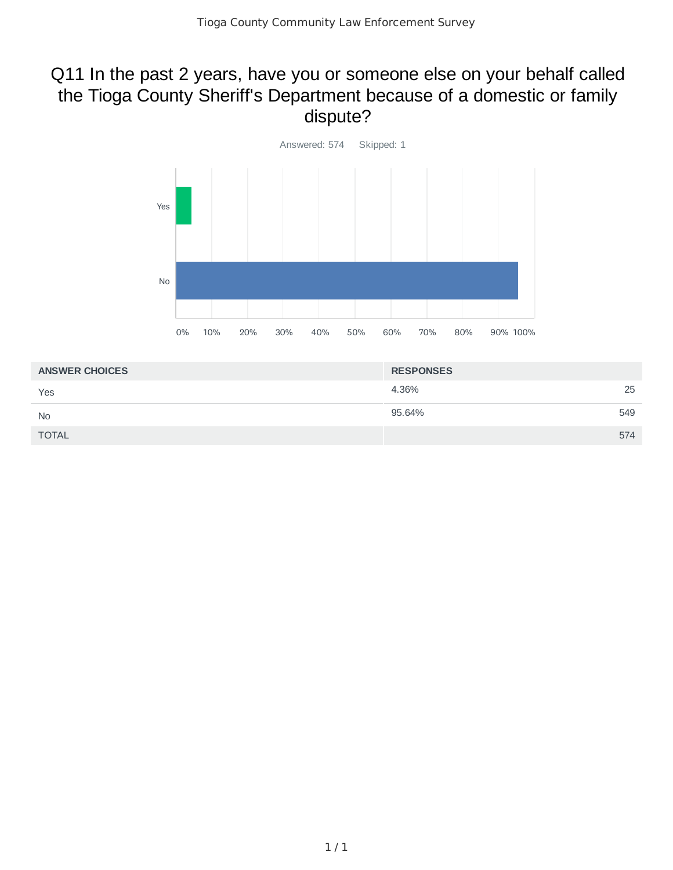#### Q11 In the past 2 years, have you or someone else on your behalf called the Tioga County Sheriff's Department because of a domestic or family dispute?



| <b>ANSWER CHOICES</b> | <b>RESPONSES</b> |  |
|-----------------------|------------------|--|
| Yes                   | 25<br>4.36%      |  |
| <b>No</b>             | 95.64%<br>549    |  |
| <b>TOTAL</b>          | 574              |  |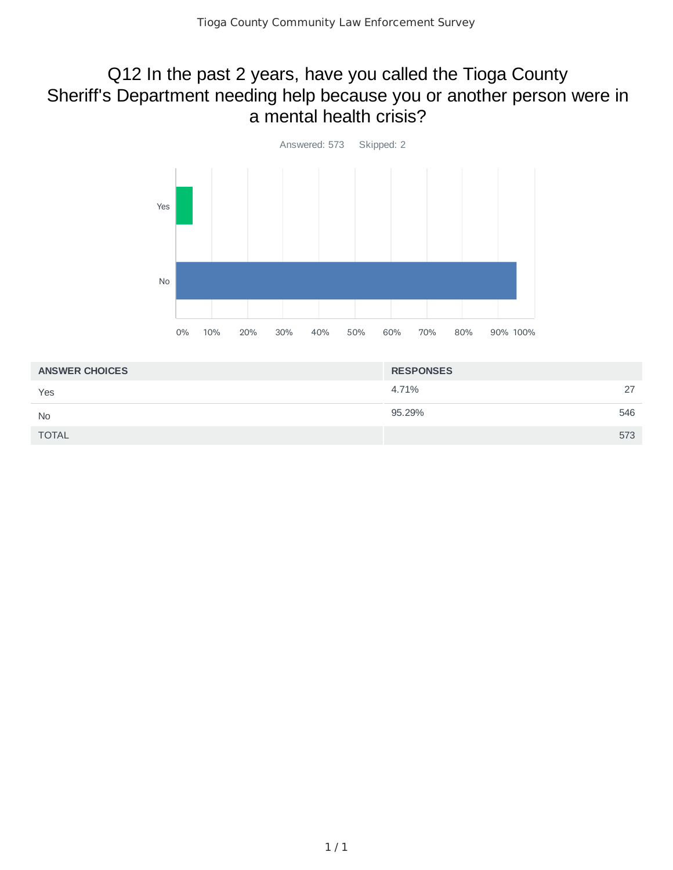#### Q12 In the past 2 years, have you called the Tioga County Sheriff's Department needing help because you or another person were in a mental health crisis?



| <b>ANSWER CHOICES</b> | <b>RESPONSES</b> |     |
|-----------------------|------------------|-----|
| Yes                   | 4.71%            | 27  |
| <b>No</b>             | 95.29%           | 546 |
| <b>TOTAL</b>          |                  | 573 |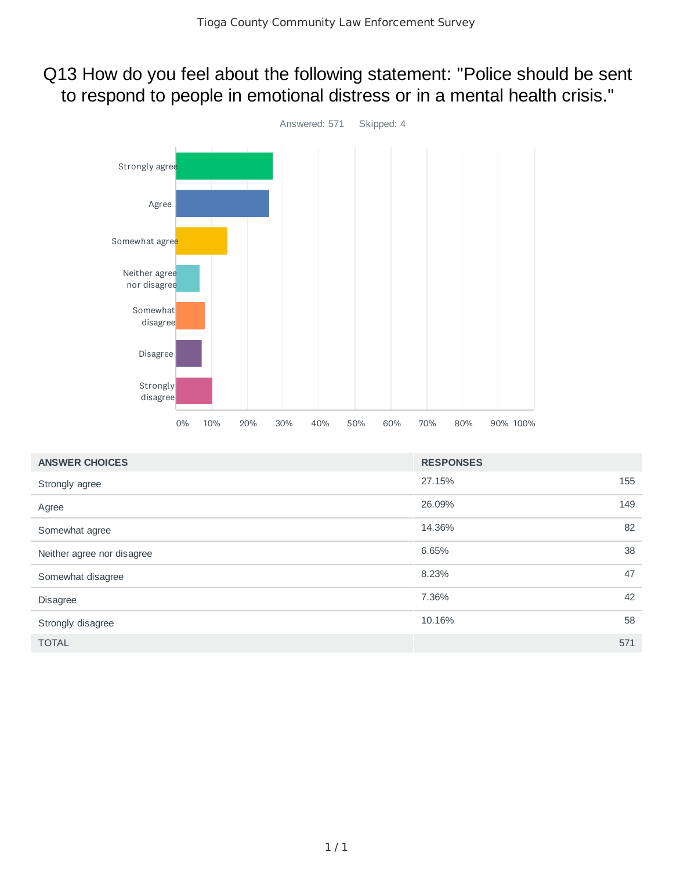#### Q13 How do you feel about the following statement: "Police should be sent to respond to people in emotional distress or in a mental health crisis."



| <b>ANSWER CHOICES</b>      | <b>RESPONSES</b> |     |
|----------------------------|------------------|-----|
| Strongly agree             | 27.15%           | 155 |
| Agree                      | 26.09%           | 149 |
| Somewhat agree             | 14.36%           | 82  |
| Neither agree nor disagree | 6.65%            | 38  |
| Somewhat disagree          | 8.23%            | 47  |
| <b>Disagree</b>            | 7.36%            | 42  |
| Strongly disagree          | 10.16%           | 58  |
| <b>TOTAL</b>               |                  | 571 |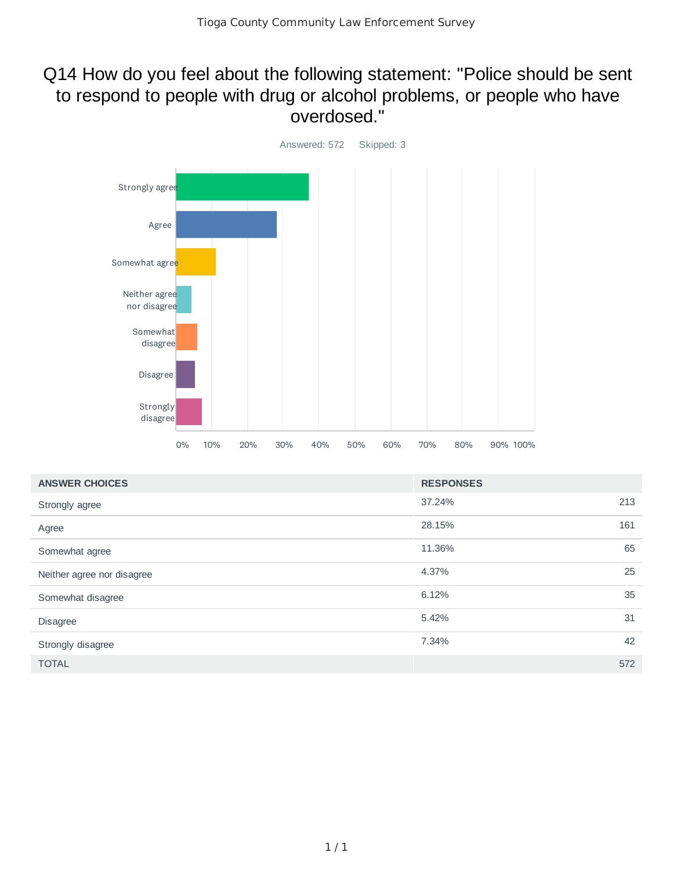#### Q14 How do you feel about the following statement: "Police should be sent to respond to people with drug or alcohol problems, or people who have overdosed."



| <b>ANSWER CHOICES</b>      | <b>RESPONSES</b> |     |
|----------------------------|------------------|-----|
| Strongly agree             | 37.24%           | 213 |
| Agree                      | 28.15%           | 161 |
| Somewhat agree             | 11.36%           | 65  |
| Neither agree nor disagree | 4.37%            | 25  |
| Somewhat disagree          | 6.12%            | 35  |
| <b>Disagree</b>            | 5.42%            | 31  |
| Strongly disagree          | 7.34%            | 42  |
| <b>TOTAL</b>               |                  | 572 |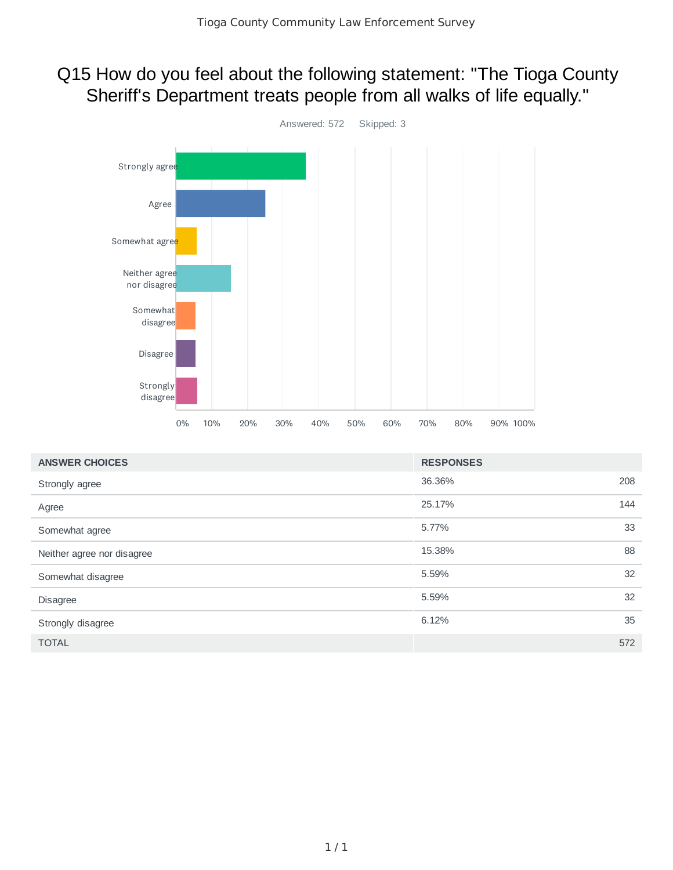## Q15 How do you feel about the following statement: "The Tioga County Sheriff's Department treats people from all walks of life equally."



| <b>ANSWER CHOICES</b>      | <b>RESPONSES</b> |     |
|----------------------------|------------------|-----|
| Strongly agree             | 36.36%           | 208 |
| Agree                      | 25.17%           | 144 |
| Somewhat agree             | 5.77%            | 33  |
| Neither agree nor disagree | 15.38%           | 88  |
| Somewhat disagree          | 5.59%            | 32  |
| <b>Disagree</b>            | 5.59%            | 32  |
| Strongly disagree          | 6.12%            | 35  |
| <b>TOTAL</b>               |                  | 572 |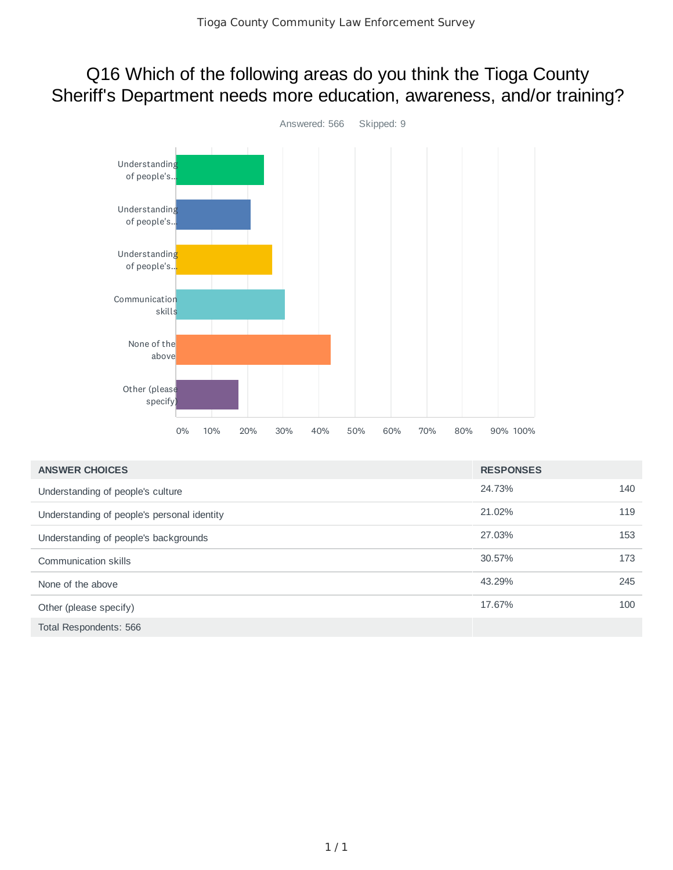#### Q16 Which of the following areas do you think the Tioga County Sheriff's Department needs more education, awareness, and/or training?



| <b>ANSWER CHOICES</b>                       | <b>RESPONSES</b> |     |
|---------------------------------------------|------------------|-----|
| Understanding of people's culture           | 24.73%           | 140 |
| Understanding of people's personal identity | 21.02%           | 119 |
| Understanding of people's backgrounds       | 27.03%           | 153 |
| Communication skills                        | 30.57%           | 173 |
| None of the above                           | 43.29%           | 245 |
| Other (please specify)                      | 17.67%           | 100 |
| Total Respondents: 566                      |                  |     |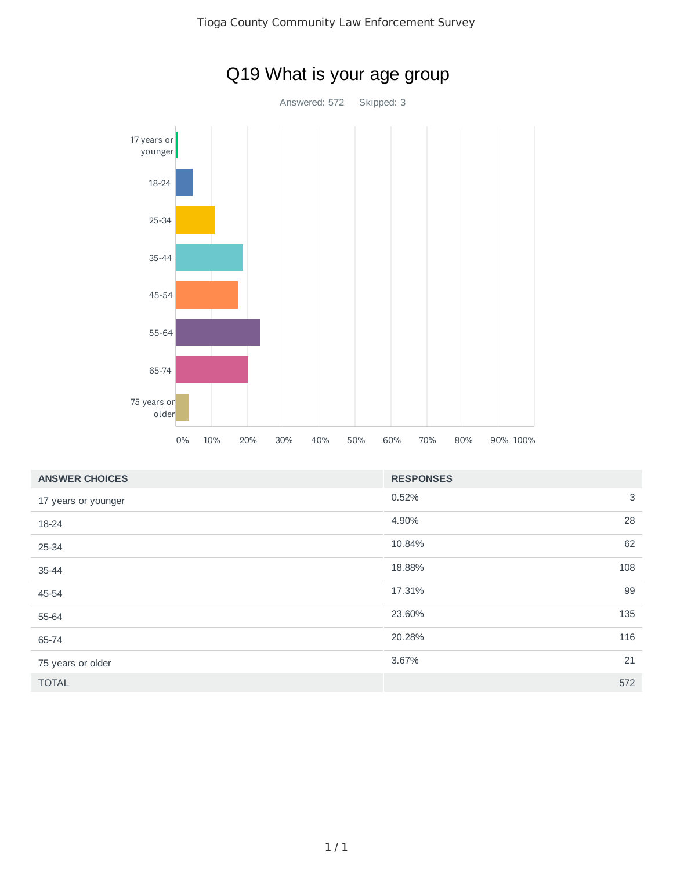

| <b>ANSWER CHOICES</b> | <b>RESPONSES</b> |    |
|-----------------------|------------------|----|
| 17 years or younger   | 0.52%            | 3  |
| 18-24                 | 4.90%            | 28 |
| 25-34                 | 10.84%           | 62 |
| 35-44                 | 108<br>18.88%    |    |
| 45-54                 | 17.31%           | 99 |
| 55-64                 | 135<br>23.60%    |    |
| 65-74                 | 116<br>20.28%    |    |
| 75 years or older     | 3.67%            | 21 |
| <b>TOTAL</b>          | 572              |    |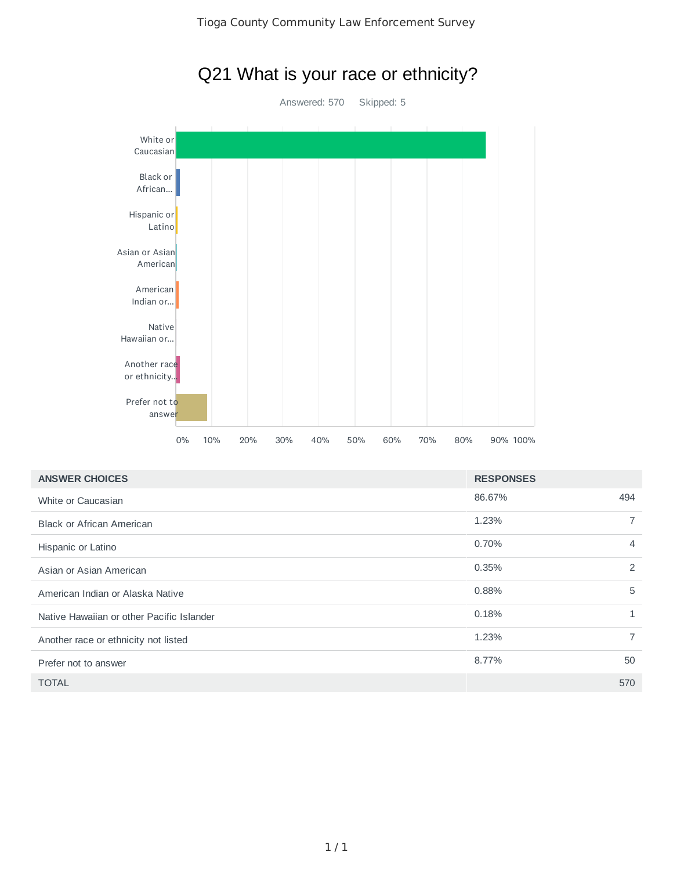

| <b>ANSWER CHOICES</b>                     | <b>RESPONSES</b> |                |
|-------------------------------------------|------------------|----------------|
| White or Caucasian                        | 86.67%           | 494            |
| <b>Black or African American</b>          | 1.23%            |                |
| Hispanic or Latino                        | 0.70%            | 4              |
| Asian or Asian American                   | 0.35%            | $\overline{2}$ |
| American Indian or Alaska Native          | 0.88%            | 5              |
| Native Hawaiian or other Pacific Islander | 0.18%            |                |
| Another race or ethnicity not listed      | 1.23%            | 7              |
| Prefer not to answer                      | 8.77%            | 50             |
| <b>TOTAL</b>                              |                  | 570            |

# Q21 What is your race or ethnicity?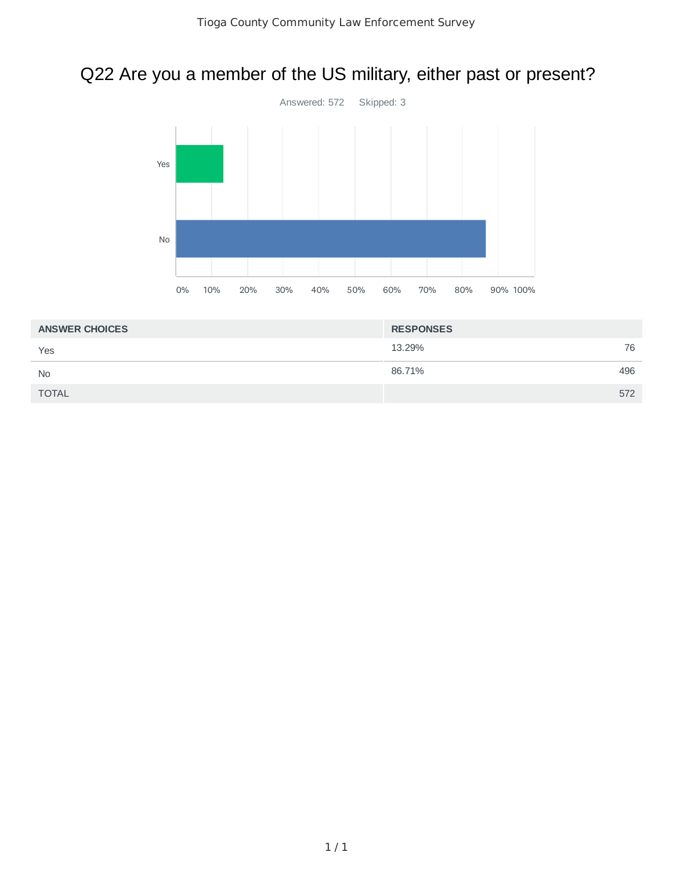## Q22 Are you a member of the US military, either past or present?



| <b>ANSWER CHOICES</b> | <b>RESPONSES</b> |     |
|-----------------------|------------------|-----|
| Yes                   | 13.29%           | 76  |
| <b>No</b>             | 86.71%           | 496 |
| <b>TOTAL</b>          |                  | 572 |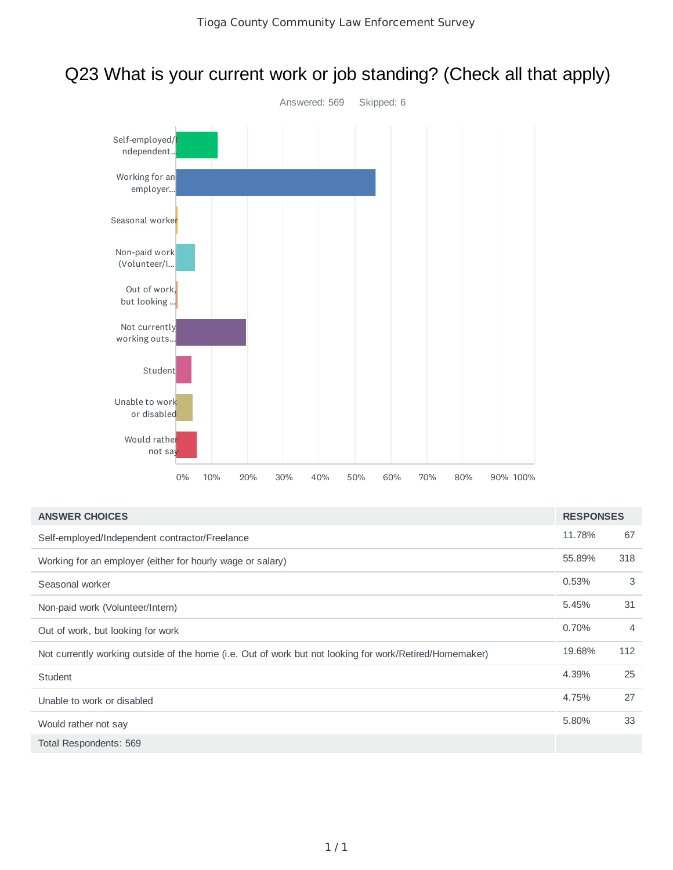## Q23 What is your current work or job standing? (Check all that apply)



| <b>ANSWER CHOICES</b>                                                                                   | <b>RESPONSES</b> |                |
|---------------------------------------------------------------------------------------------------------|------------------|----------------|
| Self-employed/Independent contractor/Freelance                                                          | 11.78%           | 67             |
| Working for an employer (either for hourly wage or salary)                                              | 55.89%           | 318            |
| Seasonal worker                                                                                         | 0.53%            | 3              |
| Non-paid work (Volunteer/Intern)                                                                        | 5.45%            | 31             |
| Out of work, but looking for work                                                                       | 0.70%            | $\overline{4}$ |
| Not currently working outside of the home (i.e. Out of work but not looking for work/Retired/Homemaker) | 19.68%           | 112            |
| <b>Student</b>                                                                                          | 4.39%            | 25             |
| Unable to work or disabled                                                                              | 4.75%            | 27             |
| Would rather not say                                                                                    | 5.80%            | 33             |
| Total Respondents: 569                                                                                  |                  |                |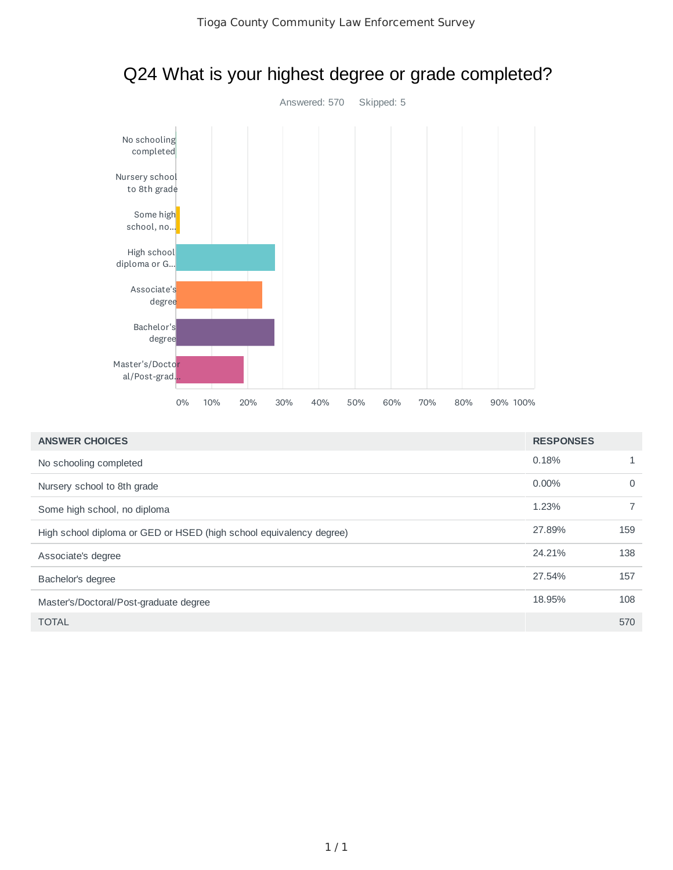

## Q24 What is your highest degree or grade completed?

| <b>ANSWER CHOICES</b>                                               | <b>RESPONSES</b> |          |
|---------------------------------------------------------------------|------------------|----------|
| No schooling completed                                              | 0.18%            |          |
| Nursery school to 8th grade                                         | 0.00%            | $\Omega$ |
| Some high school, no diploma                                        | 1.23%            |          |
| High school diploma or GED or HSED (high school equivalency degree) | 27.89%           | 159      |
| Associate's degree                                                  | 24.21%           | 138      |
| Bachelor's degree                                                   | 27.54%           | 157      |
| Master's/Doctoral/Post-graduate degree                              | 18.95%           | 108      |
| <b>TOTAL</b>                                                        |                  | 570      |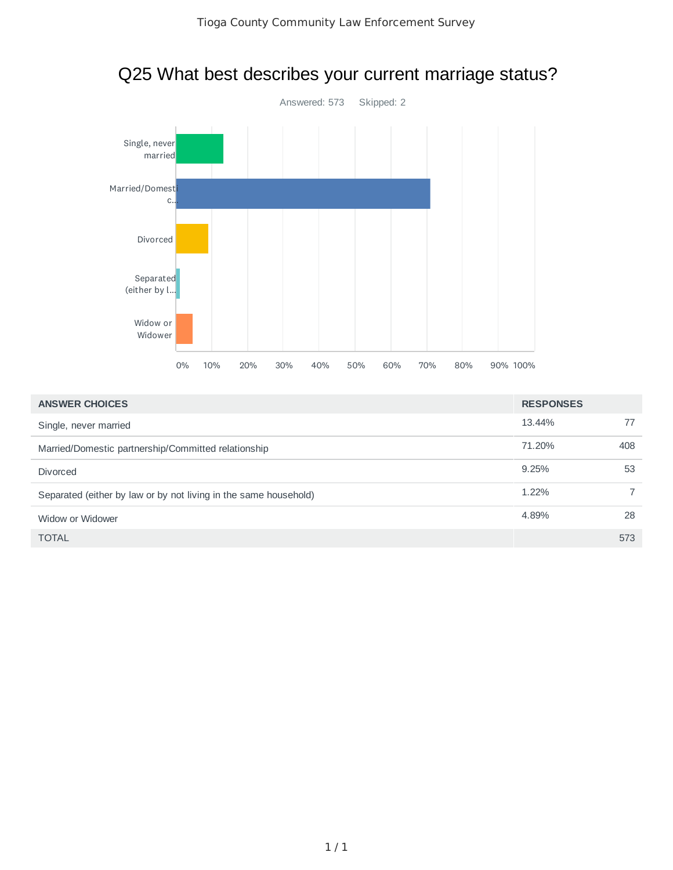

| Q25 What best describes your current marriage status? |
|-------------------------------------------------------|
|-------------------------------------------------------|

| <b>ANSWER CHOICES</b>                                            | <b>RESPONSES</b> |     |
|------------------------------------------------------------------|------------------|-----|
| Single, never married                                            | 13.44%           | 77  |
| Married/Domestic partnership/Committed relationship              | 71.20%           | 408 |
| <b>Divorced</b>                                                  | 9.25%            | 53  |
| Separated (either by law or by not living in the same household) | 1.22%            |     |
| Widow or Widower                                                 | 4.89%            | 28  |
| <b>TOTAL</b>                                                     |                  | 573 |